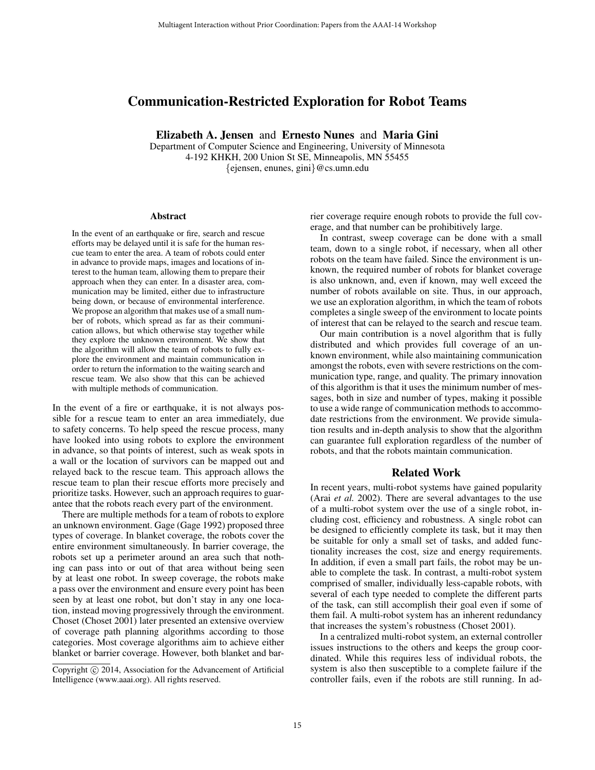# Communication-Restricted Exploration for Robot Teams

Elizabeth A. Jensen and Ernesto Nunes and Maria Gini

Department of Computer Science and Engineering, University of Minnesota 4-192 KHKH, 200 Union St SE, Minneapolis, MN 55455 {ejensen, enunes, gini}@cs.umn.edu

#### **Abstract**

In the event of an earthquake or fire, search and rescue efforts may be delayed until it is safe for the human rescue team to enter the area. A team of robots could enter in advance to provide maps, images and locations of interest to the human team, allowing them to prepare their approach when they can enter. In a disaster area, communication may be limited, either due to infrastructure being down, or because of environmental interference. We propose an algorithm that makes use of a small number of robots, which spread as far as their communication allows, but which otherwise stay together while they explore the unknown environment. We show that the algorithm will allow the team of robots to fully explore the environment and maintain communication in order to return the information to the waiting search and rescue team. We also show that this can be achieved with multiple methods of communication.

In the event of a fire or earthquake, it is not always possible for a rescue team to enter an area immediately, due to safety concerns. To help speed the rescue process, many have looked into using robots to explore the environment in advance, so that points of interest, such as weak spots in a wall or the location of survivors can be mapped out and relayed back to the rescue team. This approach allows the rescue team to plan their rescue efforts more precisely and prioritize tasks. However, such an approach requires to guarantee that the robots reach every part of the environment.

There are multiple methods for a team of robots to explore an unknown environment. Gage (Gage 1992) proposed three types of coverage. In blanket coverage, the robots cover the entire environment simultaneously. In barrier coverage, the robots set up a perimeter around an area such that nothing can pass into or out of that area without being seen by at least one robot. In sweep coverage, the robots make a pass over the environment and ensure every point has been seen by at least one robot, but don't stay in any one location, instead moving progressively through the environment. Choset (Choset 2001) later presented an extensive overview of coverage path planning algorithms according to those categories. Most coverage algorithms aim to achieve either blanket or barrier coverage. However, both blanket and barrier coverage require enough robots to provide the full coverage, and that number can be prohibitively large.

In contrast, sweep coverage can be done with a small team, down to a single robot, if necessary, when all other robots on the team have failed. Since the environment is unknown, the required number of robots for blanket coverage is also unknown, and, even if known, may well exceed the number of robots available on site. Thus, in our approach, we use an exploration algorithm, in which the team of robots completes a single sweep of the environment to locate points of interest that can be relayed to the search and rescue team.

Our main contribution is a novel algorithm that is fully distributed and which provides full coverage of an unknown environment, while also maintaining communication amongst the robots, even with severe restrictions on the communication type, range, and quality. The primary innovation of this algorithm is that it uses the minimum number of messages, both in size and number of types, making it possible to use a wide range of communication methods to accommodate restrictions from the environment. We provide simulation results and in-depth analysis to show that the algorithm can guarantee full exploration regardless of the number of robots, and that the robots maintain communication.

# Related Work

In recent years, multi-robot systems have gained popularity (Arai *et al.* 2002). There are several advantages to the use of a multi-robot system over the use of a single robot, including cost, efficiency and robustness. A single robot can be designed to efficiently complete its task, but it may then be suitable for only a small set of tasks, and added functionality increases the cost, size and energy requirements. In addition, if even a small part fails, the robot may be unable to complete the task. In contrast, a multi-robot system comprised of smaller, individually less-capable robots, with several of each type needed to complete the different parts of the task, can still accomplish their goal even if some of them fail. A multi-robot system has an inherent redundancy that increases the system's robustness (Choset 2001).

In a centralized multi-robot system, an external controller issues instructions to the others and keeps the group coordinated. While this requires less of individual robots, the system is also then susceptible to a complete failure if the controller fails, even if the robots are still running. In ad-

Copyright (c) 2014, Association for the Advancement of Artificial Intelligence (www.aaai.org). All rights reserved.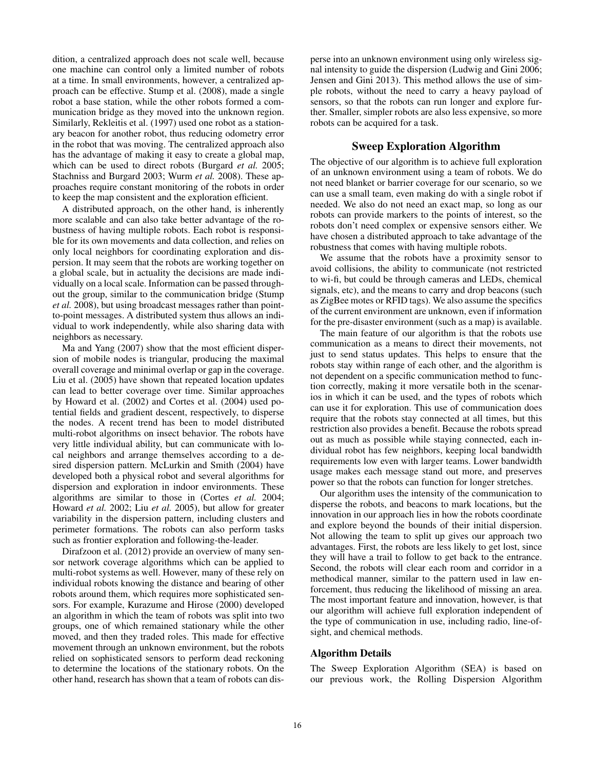dition, a centralized approach does not scale well, because one machine can control only a limited number of robots at a time. In small environments, however, a centralized approach can be effective. Stump et al. (2008), made a single robot a base station, while the other robots formed a communication bridge as they moved into the unknown region. Similarly, Rekleitis et al. (1997) used one robot as a stationary beacon for another robot, thus reducing odometry error in the robot that was moving. The centralized approach also has the advantage of making it easy to create a global map, which can be used to direct robots (Burgard *et al.* 2005; Stachniss and Burgard 2003; Wurm *et al.* 2008). These approaches require constant monitoring of the robots in order to keep the map consistent and the exploration efficient.

A distributed approach, on the other hand, is inherently more scalable and can also take better advantage of the robustness of having multiple robots. Each robot is responsible for its own movements and data collection, and relies on only local neighbors for coordinating exploration and dispersion. It may seem that the robots are working together on a global scale, but in actuality the decisions are made individually on a local scale. Information can be passed throughout the group, similar to the communication bridge (Stump *et al.* 2008), but using broadcast messages rather than pointto-point messages. A distributed system thus allows an individual to work independently, while also sharing data with neighbors as necessary.

Ma and Yang (2007) show that the most efficient dispersion of mobile nodes is triangular, producing the maximal overall coverage and minimal overlap or gap in the coverage. Liu et al. (2005) have shown that repeated location updates can lead to better coverage over time. Similar approaches by Howard et al. (2002) and Cortes et al. (2004) used potential fields and gradient descent, respectively, to disperse the nodes. A recent trend has been to model distributed multi-robot algorithms on insect behavior. The robots have very little individual ability, but can communicate with local neighbors and arrange themselves according to a desired dispersion pattern. McLurkin and Smith (2004) have developed both a physical robot and several algorithms for dispersion and exploration in indoor environments. These algorithms are similar to those in (Cortes *et al.* 2004; Howard *et al.* 2002; Liu *et al.* 2005), but allow for greater variability in the dispersion pattern, including clusters and perimeter formations. The robots can also perform tasks such as frontier exploration and following-the-leader.

Dirafzoon et al. (2012) provide an overview of many sensor network coverage algorithms which can be applied to multi-robot systems as well. However, many of these rely on individual robots knowing the distance and bearing of other robots around them, which requires more sophisticated sensors. For example, Kurazume and Hirose (2000) developed an algorithm in which the team of robots was split into two groups, one of which remained stationary while the other moved, and then they traded roles. This made for effective movement through an unknown environment, but the robots relied on sophisticated sensors to perform dead reckoning to determine the locations of the stationary robots. On the other hand, research has shown that a team of robots can disperse into an unknown environment using only wireless signal intensity to guide the dispersion (Ludwig and Gini 2006; Jensen and Gini 2013). This method allows the use of simple robots, without the need to carry a heavy payload of sensors, so that the robots can run longer and explore further. Smaller, simpler robots are also less expensive, so more robots can be acquired for a task.

# Sweep Exploration Algorithm

The objective of our algorithm is to achieve full exploration of an unknown environment using a team of robots. We do not need blanket or barrier coverage for our scenario, so we can use a small team, even making do with a single robot if needed. We also do not need an exact map, so long as our robots can provide markers to the points of interest, so the robots don't need complex or expensive sensors either. We have chosen a distributed approach to take advantage of the robustness that comes with having multiple robots.

We assume that the robots have a proximity sensor to avoid collisions, the ability to communicate (not restricted to wi-fi, but could be through cameras and LEDs, chemical signals, etc), and the means to carry and drop beacons (such as ZigBee motes or RFID tags). We also assume the specifics of the current environment are unknown, even if information for the pre-disaster environment (such as a map) is available.

The main feature of our algorithm is that the robots use communication as a means to direct their movements, not just to send status updates. This helps to ensure that the robots stay within range of each other, and the algorithm is not dependent on a specific communication method to function correctly, making it more versatile both in the scenarios in which it can be used, and the types of robots which can use it for exploration. This use of communication does require that the robots stay connected at all times, but this restriction also provides a benefit. Because the robots spread out as much as possible while staying connected, each individual robot has few neighbors, keeping local bandwidth requirements low even with larger teams. Lower bandwidth usage makes each message stand out more, and preserves power so that the robots can function for longer stretches.

Our algorithm uses the intensity of the communication to disperse the robots, and beacons to mark locations, but the innovation in our approach lies in how the robots coordinate and explore beyond the bounds of their initial dispersion. Not allowing the team to split up gives our approach two advantages. First, the robots are less likely to get lost, since they will have a trail to follow to get back to the entrance. Second, the robots will clear each room and corridor in a methodical manner, similar to the pattern used in law enforcement, thus reducing the likelihood of missing an area. The most important feature and innovation, however, is that our algorithm will achieve full exploration independent of the type of communication in use, including radio, line-ofsight, and chemical methods.

# Algorithm Details

The Sweep Exploration Algorithm (SEA) is based on our previous work, the Rolling Dispersion Algorithm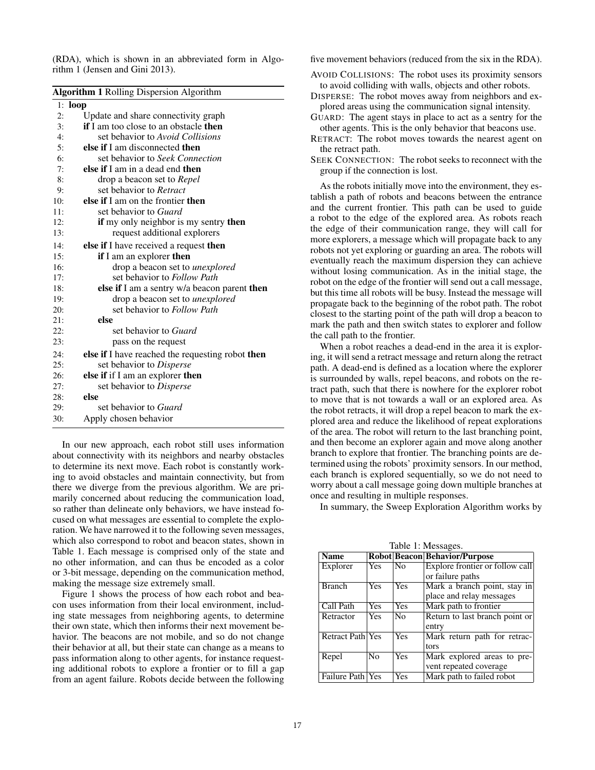(RDA), which is shown in an abbreviated form in Algorithm 1 (Jensen and Gini 2013).

|     | Algorithm 1 Rolling Dispersion Algorithm            |  |  |  |  |
|-----|-----------------------------------------------------|--|--|--|--|
|     | $1:$ loop                                           |  |  |  |  |
| 2:  | Update and share connectivity graph                 |  |  |  |  |
| 3:  | <b>if</b> I am too close to an obstacle <b>then</b> |  |  |  |  |
| 4:  | set behavior to Avoid Collisions                    |  |  |  |  |
| 5:  | else if I am disconnected then                      |  |  |  |  |
| 6:  | set behavior to Seek Connection                     |  |  |  |  |
| 7:  | else if I am in a dead end then                     |  |  |  |  |
| 8:  | drop a beacon set to <i>Repel</i>                   |  |  |  |  |
| 9:  | set behavior to Retract                             |  |  |  |  |
| 10: | else if I am on the frontier then                   |  |  |  |  |
| 11: | set behavior to Guard                               |  |  |  |  |
| 12: | if my only neighbor is my sentry then               |  |  |  |  |
| 13: | request additional explorers                        |  |  |  |  |
| 14: | else if I have received a request then              |  |  |  |  |
| 15: | if I am an explorer then                            |  |  |  |  |
| 16: | drop a beacon set to <i>unexplored</i>              |  |  |  |  |
| 17: | set behavior to Follow Path                         |  |  |  |  |
| 18: | else if I am a sentry w/a beacon parent then        |  |  |  |  |
| 19: | drop a beacon set to <i>unexplored</i>              |  |  |  |  |
| 20: | set behavior to Follow Path                         |  |  |  |  |
| 21: | else                                                |  |  |  |  |
| 22: | set behavior to <i>Guard</i>                        |  |  |  |  |
| 23: | pass on the request                                 |  |  |  |  |
| 24: | else if I have reached the requesting robot then    |  |  |  |  |
| 25: | set behavior to Disperse                            |  |  |  |  |
| 26: | else if if I am an explorer then                    |  |  |  |  |
| 27: | set behavior to Disperse                            |  |  |  |  |
| 28: | else                                                |  |  |  |  |
| 29: | set behavior to <i>Guard</i>                        |  |  |  |  |
| 30: | Apply chosen behavior                               |  |  |  |  |

In our new approach, each robot still uses information about connectivity with its neighbors and nearby obstacles to determine its next move. Each robot is constantly working to avoid obstacles and maintain connectivity, but from there we diverge from the previous algorithm. We are primarily concerned about reducing the communication load, so rather than delineate only behaviors, we have instead focused on what messages are essential to complete the exploration. We have narrowed it to the following seven messages, which also correspond to robot and beacon states, shown in Table 1. Each message is comprised only of the state and no other information, and can thus be encoded as a color or 3-bit message, depending on the communication method, making the message size extremely small.

Figure 1 shows the process of how each robot and beacon uses information from their local environment, including state messages from neighboring agents, to determine their own state, which then informs their next movement behavior. The beacons are not mobile, and so do not change their behavior at all, but their state can change as a means to pass information along to other agents, for instance requesting additional robots to explore a frontier or to fill a gap from an agent failure. Robots decide between the following five movement behaviors (reduced from the six in the RDA).

AVOID COLLISIONS: The robot uses its proximity sensors to avoid colliding with walls, objects and other robots.

DISPERSE: The robot moves away from neighbors and explored areas using the communication signal intensity.

GUARD: The agent stays in place to act as a sentry for the other agents. This is the only behavior that beacons use.

RETRACT: The robot moves towards the nearest agent on the retract path.

SEEK CONNECTION: The robot seeks to reconnect with the group if the connection is lost.

As the robots initially move into the environment, they establish a path of robots and beacons between the entrance and the current frontier. This path can be used to guide a robot to the edge of the explored area. As robots reach the edge of their communication range, they will call for more explorers, a message which will propagate back to any robots not yet exploring or guarding an area. The robots will eventually reach the maximum dispersion they can achieve without losing communication. As in the initial stage, the robot on the edge of the frontier will send out a call message, but this time all robots will be busy. Instead the message will propagate back to the beginning of the robot path. The robot closest to the starting point of the path will drop a beacon to mark the path and then switch states to explorer and follow the call path to the frontier.

When a robot reaches a dead-end in the area it is exploring, it will send a retract message and return along the retract path. A dead-end is defined as a location where the explorer is surrounded by walls, repel beacons, and robots on the retract path, such that there is nowhere for the explorer robot to move that is not towards a wall or an explored area. As the robot retracts, it will drop a repel beacon to mark the explored area and reduce the likelihood of repeat explorations of the area. The robot will return to the last branching point, and then become an explorer again and move along another branch to explore that frontier. The branching points are determined using the robots' proximity sensors. In our method, each branch is explored sequentially, so we do not need to worry about a call message going down multiple branches at once and resulting in multiple responses.

In summary, the Sweep Exploration Algorithm works by

 $Table 1: M$ 

| <b>Name</b>             |                |                | <b>Robot Beacon Behavior/Purpose</b> |
|-------------------------|----------------|----------------|--------------------------------------|
| Explorer                | <b>Yes</b>     | N <sub>0</sub> | Explore frontier or follow call      |
|                         |                |                | or failure paths                     |
| <b>Branch</b>           | <b>Yes</b>     | Yes            | Mark a branch point, stay in         |
|                         |                |                | place and relay messages             |
| Call Path               | <b>Yes</b>     | Yes            | Mark path to frontier                |
| Retractor               | <b>Yes</b>     | N <sub>0</sub> | Return to last branch point or       |
|                         |                |                | entry                                |
| <b>Retract Path Yes</b> |                | Yes            | Mark return path for retrac-         |
|                         |                |                | tors                                 |
| Repel                   | N <sub>0</sub> | Yes            | Mark explored areas to pre-          |
|                         |                |                | vent repeated coverage               |
| Failure Path Yes        |                | Yes            | Mark path to failed robot            |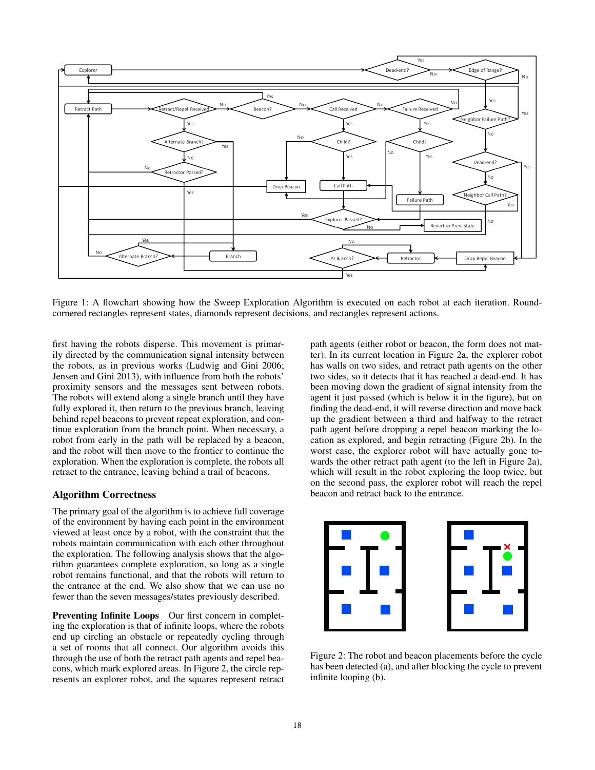

Figure 1: A flowchart showing how the Sweep Exploration Algorithm is executed on each robot at each iteration. Roundcornered rectangles represent states, diamonds represent decisions, and rectangles represent actions.

first having the robots disperse. This movement is primarily directed by the communication signal intensity between the robots, as in previous works (Ludwig and Gini 2006; Jensen and Gini 2013), with influence from both the robots' proximity sensors and the messages sent between robots. The robots will extend along a single branch until they have fully explored it, then return to the previous branch, leaving behind repel beacons to prevent repeat exploration, and continue exploration from the branch point. When necessary, a robot from early in the path will be replaced by a beacon, and the robot will then move to the frontier to continue the exploration. When the exploration is complete, the robots all retract to the entrance, leaving behind a trail of beacons.

# Algorithm Correctness

The primary goal of the algorithm is to achieve full coverage of the environment by having each point in the environment viewed at least once by a robot, with the constraint that the robots maintain communication with each other throughout the exploration. The following analysis shows that the algorithm guarantees complete exploration, so long as a single robot remains functional, and that the robots will return to the entrance at the end. We also show that we can use no fewer than the seven messages/states previously described.

Preventing Infinite Loops Our first concern in completing the exploration is that of infinite loops, where the robots end up circling an obstacle or repeatedly cycling through a set of rooms that all connect. Our algorithm avoids this through the use of both the retract path agents and repel beacons, which mark explored areas. In Figure 2, the circle represents an explorer robot, and the squares represent retract

path agents (either robot or beacon, the form does not matter). In its current location in Figure 2a, the explorer robot has walls on two sides, and retract path agents on the other two sides, so it detects that it has reached a dead-end. It has been moving down the gradient of signal intensity from the agent it just passed (which is below it in the figure), but on finding the dead-end, it will reverse direction and move back up the gradient between a third and halfway to the retract path agent before dropping a repel beacon marking the location as explored, and begin retracting (Figure 2b). In the worst case, the explorer robot will have actually gone towards the other retract path agent (to the left in Figure 2a), which will result in the robot exploring the loop twice, but on the second pass, the explorer robot will reach the repel beacon and retract back to the entrance.



Figure 2: The robot and beacon placements before the cycle has been detected (a), and after blocking the cycle to prevent infinite looping (b).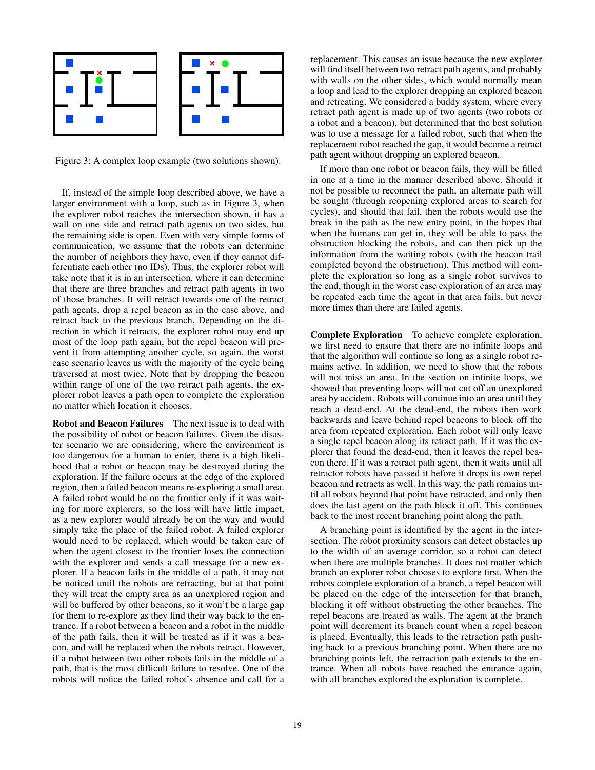

Figure 3: A complex loop example (two solutions shown).

If, instead of the simple loop described above, we have a larger environment with a loop, such as in Figure 3, when the explorer robot reaches the intersection shown, it has a wall on one side and retract path agents on two sides, but the remaining side is open. Even with very simple forms of communication, we assume that the robots can determine the number of neighbors they have, even if they cannot differentiate each other (no IDs). Thus, the explorer robot will take note that it is in an intersection, where it can determine that there are three branches and retract path agents in two of those branches. It will retract towards one of the retract path agents, drop a repel beacon as in the case above, and retract back to the previous branch. Depending on the direction in which it retracts, the explorer robot may end up most of the loop path again, but the repel beacon will prevent it from attempting another cycle, so again, the worst case scenario leaves us with the majority of the cycle being traversed at most twice. Note that by dropping the beacon within range of one of the two retract path agents, the explorer robot leaves a path open to complete the exploration no matter which location it chooses.

Robot and Beacon Failures The next issue is to deal with the possibility of robot or beacon failures. Given the disaster scenario we are considering, where the environment is too dangerous for a human to enter, there is a high likelihood that a robot or beacon may be destroyed during the exploration. If the failure occurs at the edge of the explored region, then a failed beacon means re-exploring a small area. A failed robot would be on the frontier only if it was waiting for more explorers, so the loss will have little impact, as a new explorer would already be on the way and would simply take the place of the failed robot. A failed explorer would need to be replaced, which would be taken care of when the agent closest to the frontier loses the connection with the explorer and sends a call message for a new explorer. If a beacon fails in the middle of a path, it may not be noticed until the robots are retracting, but at that point they will treat the empty area as an unexplored region and will be buffered by other beacons, so it won't be a large gap for them to re-explore as they find their way back to the entrance. If a robot between a beacon and a robot in the middle of the path fails, then it will be treated as if it was a beacon, and will be replaced when the robots retract. However, if a robot between two other robots fails in the middle of a path, that is the most difficult failure to resolve. One of the robots will notice the failed robot's absence and call for a

replacement. This causes an issue because the new explorer will find itself between two retract path agents, and probably with walls on the other sides, which would normally mean a loop and lead to the explorer dropping an explored beacon and retreating. We considered a buddy system, where every retract path agent is made up of two agents (two robots or a robot and a beacon), but determined that the best solution was to use a message for a failed robot, such that when the replacement robot reached the gap, it would become a retract path agent without dropping an explored beacon.

If more than one robot or beacon fails, they will be filled in one at a time in the manner described above. Should it not be possible to reconnect the path, an alternate path will be sought (through reopening explored areas to search for cycles), and should that fail, then the robots would use the break in the path as the new entry point, in the hopes that when the humans can get in, they will be able to pass the obstruction blocking the robots, and can then pick up the information from the waiting robots (with the beacon trail completed beyond the obstruction). This method will complete the exploration so long as a single robot survives to the end, though in the worst case exploration of an area may be repeated each time the agent in that area fails, but never more times than there are failed agents.

Complete Exploration To achieve complete exploration, we first need to ensure that there are no infinite loops and that the algorithm will continue so long as a single robot remains active. In addition, we need to show that the robots will not miss an area. In the section on infinite loops, we showed that preventing loops will not cut off an unexplored area by accident. Robots will continue into an area until they reach a dead-end. At the dead-end, the robots then work backwards and leave behind repel beacons to block off the area from repeated exploration. Each robot will only leave a single repel beacon along its retract path. If it was the explorer that found the dead-end, then it leaves the repel beacon there. If it was a retract path agent, then it waits until all retractor robots have passed it before it drops its own repel beacon and retracts as well. In this way, the path remains until all robots beyond that point have retracted, and only then does the last agent on the path block it off. This continues back to the most recent branching point along the path.

A branching point is identified by the agent in the intersection. The robot proximity sensors can detect obstacles up to the width of an average corridor, so a robot can detect when there are multiple branches. It does not matter which branch an explorer robot chooses to explore first. When the robots complete exploration of a branch, a repel beacon will be placed on the edge of the intersection for that branch, blocking it off without obstructing the other branches. The repel beacons are treated as walls. The agent at the branch point will decrement its branch count when a repel beacon is placed. Eventually, this leads to the retraction path pushing back to a previous branching point. When there are no branching points left, the retraction path extends to the entrance. When all robots have reached the entrance again, with all branches explored the exploration is complete.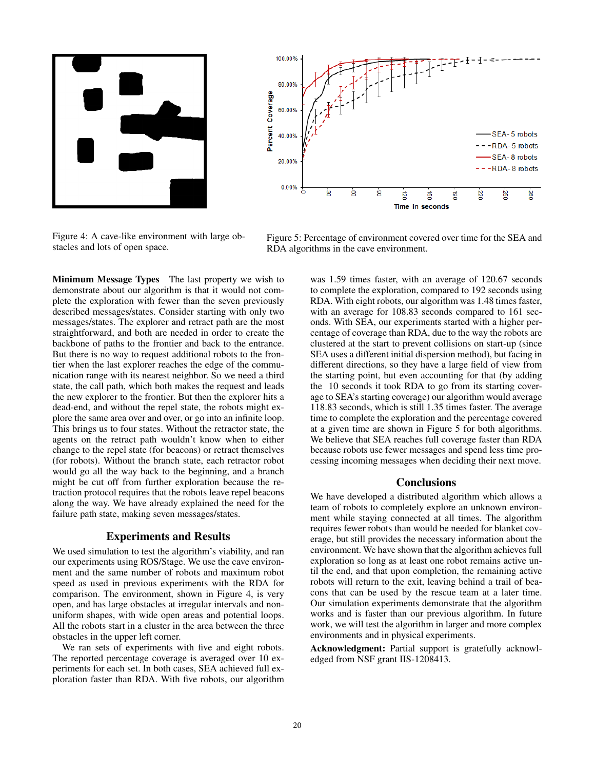



Figure 4: A cave-like environment with large obstacles and lots of open space.

Minimum Message Types The last property we wish to demonstrate about our algorithm is that it would not complete the exploration with fewer than the seven previously described messages/states. Consider starting with only two messages/states. The explorer and retract path are the most straightforward, and both are needed in order to create the backbone of paths to the frontier and back to the entrance. But there is no way to request additional robots to the frontier when the last explorer reaches the edge of the communication range with its nearest neighbor. So we need a third state, the call path, which both makes the request and leads the new explorer to the frontier. But then the explorer hits a dead-end, and without the repel state, the robots might explore the same area over and over, or go into an infinite loop. This brings us to four states. Without the retractor state, the agents on the retract path wouldn't know when to either change to the repel state (for beacons) or retract themselves (for robots). Without the branch state, each retractor robot would go all the way back to the beginning, and a branch might be cut off from further exploration because the retraction protocol requires that the robots leave repel beacons along the way. We have already explained the need for the failure path state, making seven messages/states.

# Experiments and Results

We used simulation to test the algorithm's viability, and ran our experiments using ROS/Stage. We use the cave environment and the same number of robots and maximum robot speed as used in previous experiments with the RDA for comparison. The environment, shown in Figure 4, is very open, and has large obstacles at irregular intervals and nonuniform shapes, with wide open areas and potential loops. All the robots start in a cluster in the area between the three obstacles in the upper left corner.

We ran sets of experiments with five and eight robots. The reported percentage coverage is averaged over 10 experiments for each set. In both cases, SEA achieved full exploration faster than RDA. With five robots, our algorithm

Figure 5: Percentage of environment covered over time for the SEA and RDA algorithms in the cave environment.

was 1.59 times faster, with an average of 120.67 seconds to complete the exploration, compared to 192 seconds using RDA. With eight robots, our algorithm was 1.48 times faster, with an average for 108.83 seconds compared to 161 seconds. With SEA, our experiments started with a higher percentage of coverage than RDA, due to the way the robots are clustered at the start to prevent collisions on start-up (since SEA uses a different initial dispersion method), but facing in different directions, so they have a large field of view from the starting point, but even accounting for that (by adding the 10 seconds it took RDA to go from its starting coverage to SEA's starting coverage) our algorithm would average 118.83 seconds, which is still 1.35 times faster. The average time to complete the exploration and the percentage covered at a given time are shown in Figure 5 for both algorithms. We believe that SEA reaches full coverage faster than RDA because robots use fewer messages and spend less time processing incoming messages when deciding their next move.

### **Conclusions**

We have developed a distributed algorithm which allows a team of robots to completely explore an unknown environment while staying connected at all times. The algorithm requires fewer robots than would be needed for blanket coverage, but still provides the necessary information about the environment. We have shown that the algorithm achieves full exploration so long as at least one robot remains active until the end, and that upon completion, the remaining active robots will return to the exit, leaving behind a trail of beacons that can be used by the rescue team at a later time. Our simulation experiments demonstrate that the algorithm works and is faster than our previous algorithm. In future work, we will test the algorithm in larger and more complex environments and in physical experiments.

Acknowledgment: Partial support is gratefully acknowledged from NSF grant IIS-1208413.